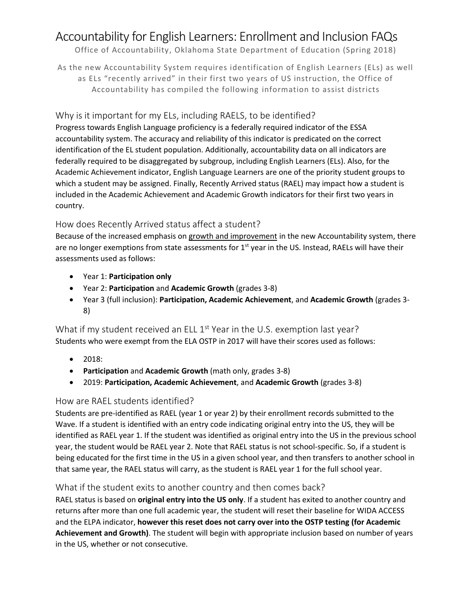# Accountability for English Learners: Enrollment and Inclusion FAQs

Office of Accountability, Oklahoma State Department of Education (Spring 2018)

As the new Accountability System requires identification of English Learners (ELs) as well as ELs "recently arrived" in their first two years of US instruction, the Office of Accountability has compiled the following information to assist districts

### Why is it important for my ELs, including RAELS, to be identified?

Progress towards English Language proficiency is a federally required indicator of the ESSA accountability system. The accuracy and reliability of this indicator is predicated on the correct identification of the EL student population. Additionally, accountability data on all indicators are federally required to be disaggregated by subgroup, including English Learners (ELs). Also, for the Academic Achievement indicator, English Language Learners are one of the priority student groups to which a student may be assigned. Finally, Recently Arrived status (RAEL) may impact how a student is included in the Academic Achievement and Academic Growth indicators for their first two years in country.

### How does Recently Arrived status affect a student?

Because of the increased emphasis on growth and improvement in the new Accountability system, there are no longer exemptions from state assessments for 1<sup>st</sup> year in the US. Instead, RAELs will have their assessments used as follows:

- Year 1: **Participation only**
- Year 2: **Participation** and **Academic Growth** (grades 3-8)
- Year 3 (full inclusion): **Participation, Academic Achievement**, and **Academic Growth** (grades 3- 8)

What if my student received an ELL 1<sup>st</sup> Year in the U.S. exemption last year? Students who were exempt from the ELA OSTP in 2017 will have their scores used as follows:

- 2018:
- **Participation** and **Academic Growth** (math only, grades 3-8)
- 2019: **Participation, Academic Achievement**, and **Academic Growth** (grades 3-8)

# How are RAEL students identified?

Students are pre-identified as RAEL (year 1 or year 2) by their enrollment records submitted to the Wave. If a student is identified with an entry code indicating original entry into the US, they will be identified as RAEL year 1. If the student was identified as original entry into the US in the previous school year, the student would be RAEL year 2. Note that RAEL status is not school-specific. So, if a student is being educated for the first time in the US in a given school year, and then transfers to another school in that same year, the RAEL status will carry, as the student is RAEL year 1 for the full school year.

# What if the student exits to another country and then comes back?

RAEL status is based on **original entry into the US only**. If a student has exited to another country and returns after more than one full academic year, the student will reset their baseline for WIDA ACCESS and the ELPA indicator, **however this reset does not carry over into the OSTP testing (for Academic Achievement and Growth)**. The student will begin with appropriate inclusion based on number of years in the US, whether or not consecutive.